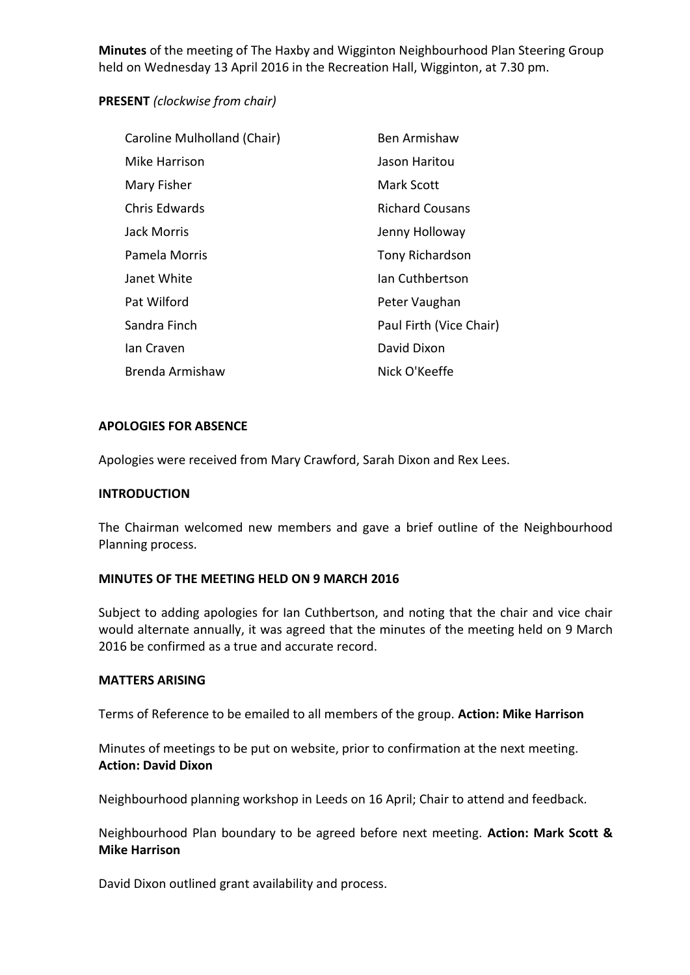**Minutes** of the meeting of The Haxby and Wigginton Neighbourhood Plan Steering Group held on Wednesday 13 April 2016 in the Recreation Hall, Wigginton, at 7.30 pm.

# **PRESENT** *(clockwise from chair)*

| Caroline Mulholland (Chair) | Ben Armishaw            |
|-----------------------------|-------------------------|
| Mike Harrison               | Jason Haritou           |
| Mary Fisher                 | Mark Scott              |
| Chris Edwards               | <b>Richard Cousans</b>  |
| <b>Jack Morris</b>          | Jenny Holloway          |
| Pamela Morris               | <b>Tony Richardson</b>  |
| Janet White                 | Ian Cuthbertson         |
| Pat Wilford                 | Peter Vaughan           |
| Sandra Finch                | Paul Firth (Vice Chair) |
| lan Craven                  | David Dixon             |
| Brenda Armishaw             | Nick O'Keeffe           |

# **APOLOGIES FOR ABSENCE**

Apologies were received from Mary Crawford, Sarah Dixon and Rex Lees.

# **INTRODUCTION**

The Chairman welcomed new members and gave a brief outline of the Neighbourhood Planning process.

# **MINUTES OF THE MEETING HELD ON 9 MARCH 2016**

Subject to adding apologies for Ian Cuthbertson, and noting that the chair and vice chair would alternate annually, it was agreed that the minutes of the meeting held on 9 March 2016 be confirmed as a true and accurate record.

#### **MATTERS ARISING**

Terms of Reference to be emailed to all members of the group. **Action: Mike Harrison**

Minutes of meetings to be put on website, prior to confirmation at the next meeting. **Action: David Dixon**

Neighbourhood planning workshop in Leeds on 16 April; Chair to attend and feedback.

Neighbourhood Plan boundary to be agreed before next meeting. **Action: Mark Scott & Mike Harrison**

David Dixon outlined grant availability and process.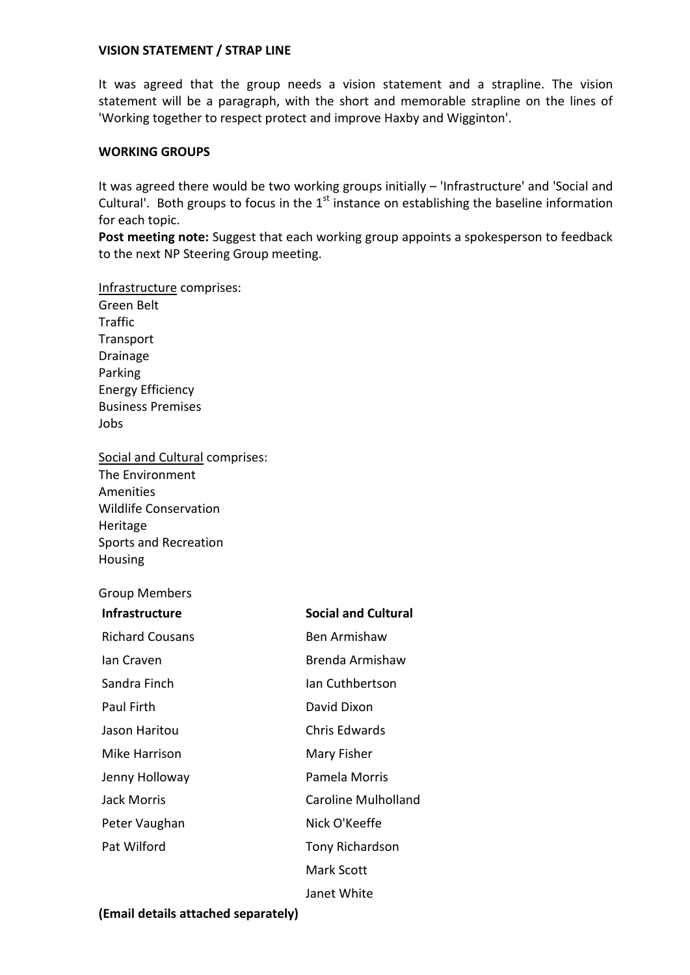### **VISION STATEMENT / STRAP LINE**

It was agreed that the group needs a vision statement and a strapline. The vision statement will be a paragraph, with the short and memorable strapline on the lines of 'Working together to respect protect and improve Haxby and Wigginton'.

### **WORKING GROUPS**

It was agreed there would be two working groups initially – 'Infrastructure' and 'Social and Cultural'. Both groups to focus in the  $1<sup>st</sup>$  instance on establishing the baseline information for each topic.

Post meeting note: Suggest that each working group appoints a spokesperson to feedback to the next NP Steering Group meeting.

Infrastructure comprises: Green Belt **Traffic Transport** Drainage Parking Energy Efficiency Business Premises Jobs

Social and Cultural comprises: The Environment Amenities Wildlife Conservation Heritage Sports and Recreation Housing

## Group Members

| <b>Infrastructure</b>  | <b>Social and Cultural</b> |
|------------------------|----------------------------|
| <b>Richard Cousans</b> | Ben Armishaw               |
| lan Craven             | Brenda Armishaw            |
| Sandra Finch           | Ian Cuthbertson            |
| Paul Firth             | David Dixon                |
| Jason Haritou          | Chris Edwards              |
| Mike Harrison          | Mary Fisher                |
| Jenny Holloway         | Pamela Morris              |
| <b>Jack Morris</b>     | <b>Caroline Mulholland</b> |
| Peter Vaughan          | Nick O'Keeffe              |
| Pat Wilford            | <b>Tony Richardson</b>     |
|                        | Mark Scott                 |
|                        | Janet White                |

#### **(Email details attached separately)**